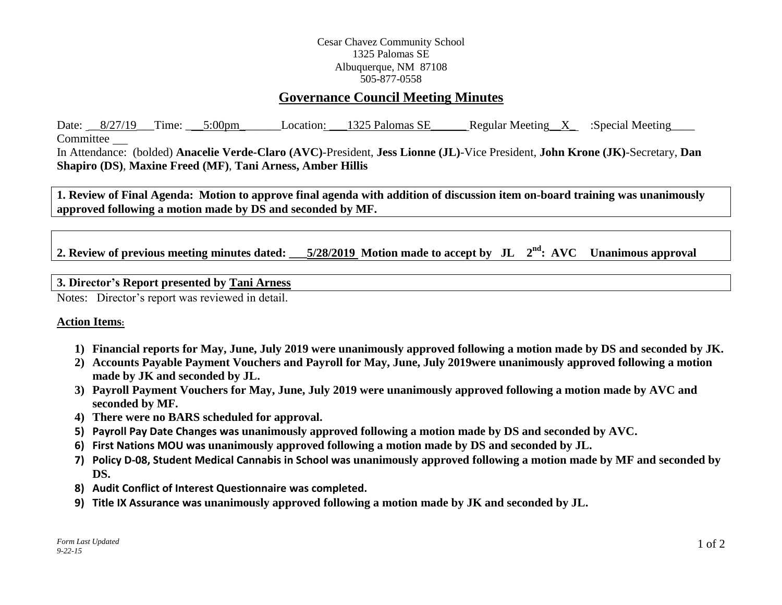## Cesar Chavez Community School 1325 Palomas SE Albuquerque, NM 87108 505-877-0558

# **Governance Council Meeting Minutes**

Date:  $\frac{8}{27/19}$  Time:  $\frac{5:00 \text{pm}}{27/19}$  Location:  $\frac{1325 \text{ Palomas SE}}{27/19}$  Regular Meeting X :Special Meeting Committee

In Attendance: (bolded) **Anacelie Verde-Claro (AVC)**-President, **Jess Lionne (JL)**-Vice President, **John Krone (JK)**-Secretary, **Dan Shapiro (DS)**, **Maxine Freed (MF)**, **Tani Arness, Amber Hillis**

**1. Review of Final Agenda: Motion to approve final agenda with addition of discussion item on-board training was unanimously approved following a motion made by DS and seconded by MF.**

**2. Review of previous meeting minutes dated: \_\_\_5/28/2019 Motion made to accept by JL 2 Unanimous approval** 

### **3. Director's Report presented by Tani Arness**

Notes: Director's report was reviewed in detail.

## **Action Items:**

- **1) Financial reports for May, June, July 2019 were unanimously approved following a motion made by DS and seconded by JK.**
- **2) Accounts Payable Payment Vouchers and Payroll for May, June, July 2019were unanimously approved following a motion made by JK and seconded by JL.**
- **3) Payroll Payment Vouchers for May, June, July 2019 were unanimously approved following a motion made by AVC and seconded by MF.**
- **4) There were no BARS scheduled for approval.**
- **5) Payroll Pay Date Changes was unanimously approved following a motion made by DS and seconded by AVC.**
- **6) First Nations MOU was unanimously approved following a motion made by DS and seconded by JL.**
- **7) Policy D-08, Student Medical Cannabis in School was unanimously approved following a motion made by MF and seconded by DS.**
- **8) Audit Conflict of Interest Questionnaire was completed.**
- **9) Title IX Assurance was unanimously approved following a motion made by JK and seconded by JL.**